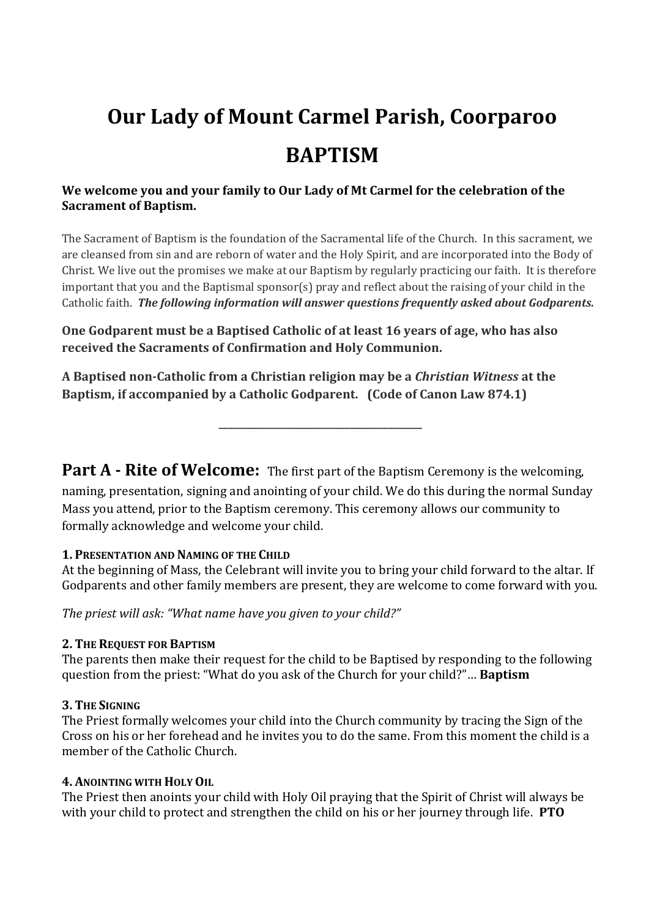# **Our Lady of Mount Carmel Parish, Coorparoo BAPTISM**

# **We welcome you and your family to Our Lady of Mt Carmel for the celebration of the Sacrament of Baptism.**

The Sacrament of Baptism is the foundation of the Sacramental life of the Church. In this sacrament, we are cleansed from sin and are reborn of water and the Holy Spirit, and are incorporated into the Body of Christ. We live out the promises we make at our Baptism by regularly practicing our faith. It is therefore important that you and the Baptismal sponsor(s) pray and reflect about the raising of your child in the Catholic faith. *The following information will answer questions frequently asked about Godparents.*

**One Godparent must be a Baptised Catholic of at least 16 years of age, who has also received the Sacraments of Confirmation and Holy Communion.**

**A Baptised non-Catholic from a Christian religion may be a** *Christian Witness* **at the Baptism, if accompanied by a Catholic Godparent. (Code of Canon Law 874.1)**

**Part A - Rite of Welcome:** The first part of the Baptism Ceremony is the welcoming,

**\_\_\_\_\_\_\_\_\_\_\_\_\_\_\_\_\_\_\_\_\_\_\_\_\_\_\_\_\_\_\_\_\_\_\_\_\_\_\_\_\_\_**

naming, presentation, signing and anointing of your child. We do this during the normal Sunday Mass you attend, prior to the Baptism ceremony. This ceremony allows our community to formally acknowledge and welcome your child.

#### **1. PRESENTATION AND NAMING OF THE CHILD**

At the beginning of Mass, the Celebrant will invite you to bring your child forward to the altar. If Godparents and other family members are present, they are welcome to come forward with you.

*The priest will ask: "What name have you given to your child?"*

# **2. THE REQUEST FOR BAPTISM**

The parents then make their request for the child to be Baptised by responding to the following question from the priest: "What do you ask of the Church for your child?"… **Baptism**

# **3. THE SIGNING**

The Priest formally welcomes your child into the Church community by tracing the Sign of the Cross on his or her forehead and he invites you to do the same. From this moment the child is a member of the Catholic Church.

# **4. ANOINTING WITH HOLY OIL**

The Priest then anoints your child with Holy Oil praying that the Spirit of Christ will always be with your child to protect and strengthen the child on his or her journey through life. **PTO**